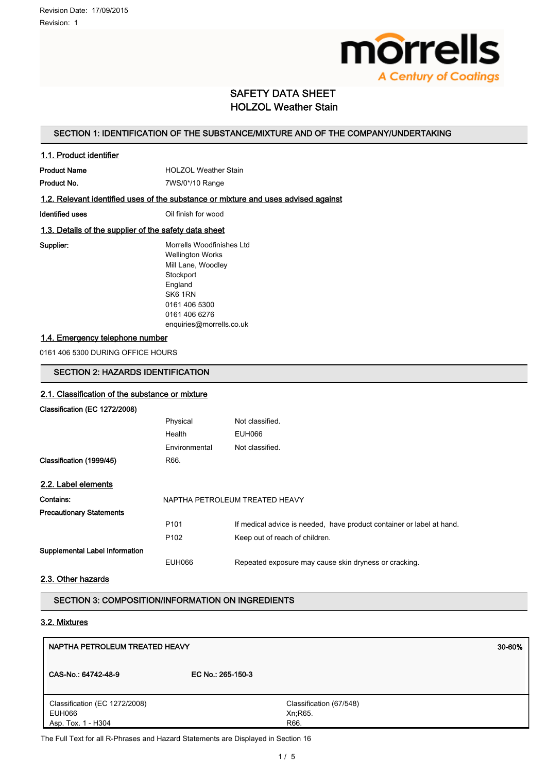

# SAFETY DATA SHEET HOLZOL Weather Stain

## SECTION 1: IDENTIFICATION OF THE SUBSTANCE/MIXTURE AND OF THE COMPANY/UNDERTAKING

## 1.1. Product identifier

**Product Name HOLZOL Weather Stain** Product No. 2008 7WS/0\*/10 Range

#### 1.2. Relevant identified uses of the substance or mixture and uses advised against

**Identified uses IDENTIFIED CONSTRAINING CONSTRAINING CONSTRAINING CONSTRAINING CONSTRAINING CONSTRAINING CONSTRAINING CONSTRAINING CONSTRAINING CONSTRAINING CONSTRAINING CONSTRAINING CONSTRAINING CONSTRAINING CONSTRAINI** 

#### 1.3. Details of the supplier of the safety data sheet

Supplier: Morrells Woodfinishes Ltd Wellington Works Mill Lane, Woodley **Stockport** England SK6 1RN 0161 406 5300 0161 406 6276 enquiries@morrells.co.uk

# 1.4. Emergency telephone number

0161 406 5300 DURING OFFICE HOURS

# SECTION 2: HAZARDS IDENTIFICATION

# 2.1. Classification of the substance or mixture Classification (EC 1272/2008) Physical Not classified. Health EUH066 Environmental Not classified. Classification (1999/45) R66. 2.2. Label elements Contains: NAPTHA PETROLEUM TREATED HEAVY Precautionary Statements P101 If medical advice is needed, have product container or label at hand. P102 Keep out of reach of children. Supplemental Label Information EUH066 Repeated exposure may cause skin dryness or cracking.

## 2.3. Other hazards

SECTION 3: COMPOSITION/INFORMATION ON INGREDIENTS

# 3.2. Mixtures

| NAPTHA PETROLEUM TREATED HEAVY                                |                                             | 30-60% |
|---------------------------------------------------------------|---------------------------------------------|--------|
| CAS-No.: 64742-48-9                                           | EC No.: 265-150-3                           |        |
| Classification (EC 1272/2008)<br>EUH066<br>Asp. Tox. 1 - H304 | Classification (67/548)<br>Xn; R65.<br>R66. |        |

The Full Text for all R-Phrases and Hazard Statements are Displayed in Section 16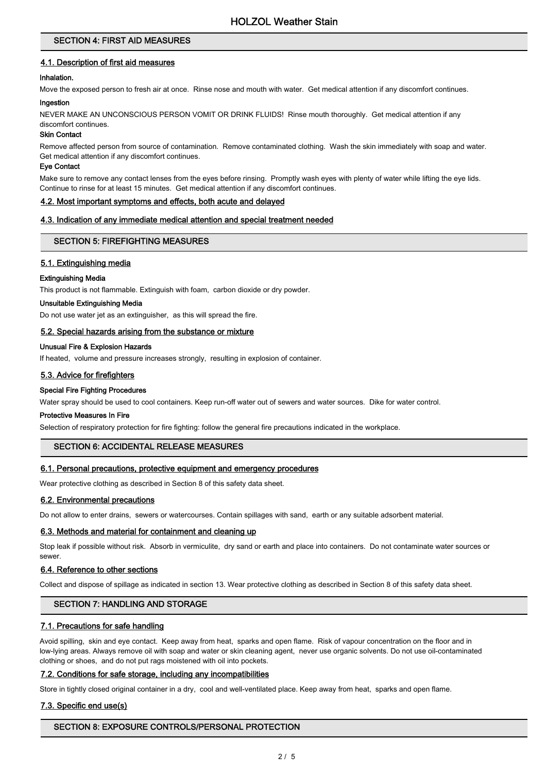## SECTION 4: FIRST AID MEASURES

# 4.1. Description of first aid measures

# Inhalation.

Move the exposed person to fresh air at once. Rinse nose and mouth with water. Get medical attention if any discomfort continues.

#### Ingestion

NEVER MAKE AN UNCONSCIOUS PERSON VOMIT OR DRINK FLUIDS! Rinse mouth thoroughly. Get medical attention if any discomfort continues.

#### Skin Contact

Remove affected person from source of contamination. Remove contaminated clothing. Wash the skin immediately with soap and water. Get medical attention if any discomfort continues.

#### Eye Contact

Make sure to remove any contact lenses from the eyes before rinsing. Promptly wash eyes with plenty of water while lifting the eye lids. Continue to rinse for at least 15 minutes. Get medical attention if any discomfort continues.

#### 4.2. Most important symptoms and effects, both acute and delayed

#### 4.3. Indication of any immediate medical attention and special treatment needed

#### SECTION 5: FIREFIGHTING MEASURES

#### 5.1. Extinguishing media

#### Extinguishing Media

This product is not flammable. Extinguish with foam, carbon dioxide or dry powder.

#### Unsuitable Extinguishing Media

Do not use water jet as an extinguisher, as this will spread the fire.

#### 5.2. Special hazards arising from the substance or mixture

#### Unusual Fire & Explosion Hazards

If heated, volume and pressure increases strongly, resulting in explosion of container.

#### 5.3. Advice for firefighters

#### Special Fire Fighting Procedures

Water spray should be used to cool containers. Keep run-off water out of sewers and water sources. Dike for water control.

#### Protective Measures In Fire

Selection of respiratory protection for fire fighting: follow the general fire precautions indicated in the workplace.

## SECTION 6: ACCIDENTAL RELEASE MEASURES

#### 6.1. Personal precautions, protective equipment and emergency procedures

Wear protective clothing as described in Section 8 of this safety data sheet.

## 6.2. Environmental precautions

Do not allow to enter drains, sewers or watercourses. Contain spillages with sand, earth or any suitable adsorbent material.

#### 6.3. Methods and material for containment and cleaning up

Stop leak if possible without risk. Absorb in vermiculite, dry sand or earth and place into containers. Do not contaminate water sources or sewer.

## 6.4. Reference to other sections

Collect and dispose of spillage as indicated in section 13. Wear protective clothing as described in Section 8 of this safety data sheet.

## SECTION 7: HANDLING AND STORAGE

## 7.1. Precautions for safe handling

Avoid spilling, skin and eye contact. Keep away from heat, sparks and open flame. Risk of vapour concentration on the floor and in low-lying areas. Always remove oil with soap and water or skin cleaning agent, never use organic solvents. Do not use oil-contaminated clothing or shoes, and do not put rags moistened with oil into pockets.

#### 7.2. Conditions for safe storage, including any incompatibilities

Store in tightly closed original container in a dry, cool and well-ventilated place. Keep away from heat, sparks and open flame.

#### 7.3. Specific end use(s)

## SECTION 8: EXPOSURE CONTROLS/PERSONAL PROTECTION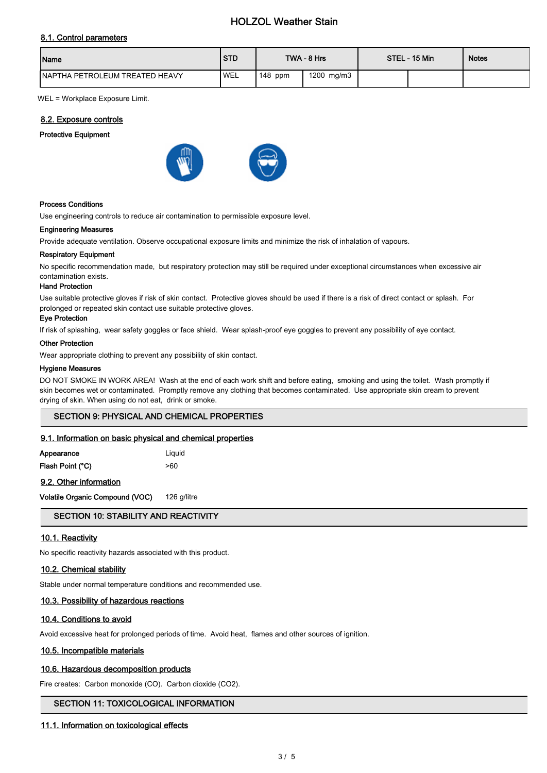# HOLZOL Weather Stain

## 8.1. Control parameters

| Name                                   | <b>STD</b> |           | TWA - 8 Hrs | STEL - 15 Min | <b>Notes</b> |
|----------------------------------------|------------|-----------|-------------|---------------|--------------|
| <b>INAPTHA PETROLEUM TREATED HEAVY</b> | <b>WEL</b> | $148$ ppm | 1200 mg/m3  |               |              |

WEL = Workplace Exposure Limit.

#### 8.2. Exposure controls

#### Protective Equipment





#### Process Conditions

Use engineering controls to reduce air contamination to permissible exposure level.

#### Engineering Measures

Provide adequate ventilation. Observe occupational exposure limits and minimize the risk of inhalation of vapours.

#### Respiratory Equipment

No specific recommendation made, but respiratory protection may still be required under exceptional circumstances when excessive air contamination exists.

#### Hand Protection

Use suitable protective gloves if risk of skin contact. Protective gloves should be used if there is a risk of direct contact or splash. For prolonged or repeated skin contact use suitable protective gloves.

#### Eye Protection

If risk of splashing, wear safety goggles or face shield. Wear splash-proof eye goggles to prevent any possibility of eye contact.

#### Other Protection

Wear appropriate clothing to prevent any possibility of skin contact.

#### Hygiene Measures

DO NOT SMOKE IN WORK AREA! Wash at the end of each work shift and before eating, smoking and using the toilet. Wash promptly if skin becomes wet or contaminated. Promptly remove any clothing that becomes contaminated. Use appropriate skin cream to prevent drying of skin. When using do not eat, drink or smoke.

#### SECTION 9: PHYSICAL AND CHEMICAL PROPERTIES

#### 9.1. Information on basic physical and chemical properties

| Appearance       | Liguid |
|------------------|--------|
| Flash Point (°C) | >60    |

9.2. Other information

Volatile Organic Compound (VOC) 126 g/litre

## SECTION 10: STABILITY AND REACTIVITY

#### 10.1. Reactivity

No specific reactivity hazards associated with this product.

#### 10.2. Chemical stability

Stable under normal temperature conditions and recommended use.

#### 10.3. Possibility of hazardous reactions

#### 10.4. Conditions to avoid

Avoid excessive heat for prolonged periods of time. Avoid heat, flames and other sources of ignition.

## 10.5. Incompatible materials

#### 10.6. Hazardous decomposition products

Fire creates: Carbon monoxide (CO). Carbon dioxide (CO2).

#### SECTION 11: TOXICOLOGICAL INFORMATION

#### 11.1. Information on toxicological effects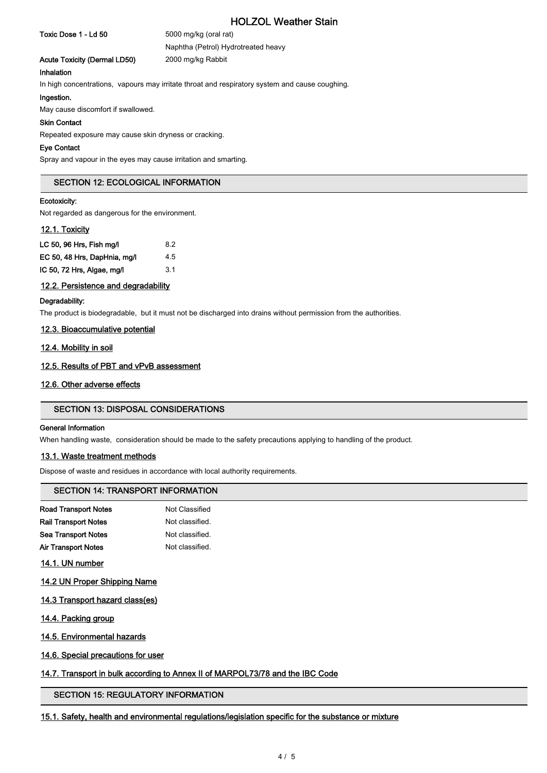# HOLZOL Weather Stain

Toxic Dose 1 - Ld 50 5000 mg/kg (oral rat)

Naphtha (Petrol) Hydrotreated heavy Acute Toxicity (Dermal LD50) 2000 mg/kg Rabbit

Inhalation

In high concentrations, vapours may irritate throat and respiratory system and cause coughing.

## Ingestion.

May cause discomfort if swallowed.

#### Skin Contact

Repeated exposure may cause skin dryness or cracking.

#### Eye Contact

Spray and vapour in the eyes may cause irritation and smarting.

#### SECTION 12: ECOLOGICAL INFORMATION

#### Ecotoxicity:

Not regarded as dangerous for the environment.

#### 12.1. Toxicity

| LC 50, 96 Hrs, Fish mg/l     | 8.2 |
|------------------------------|-----|
| EC 50, 48 Hrs, DapHnia, mg/l | 4.5 |
| IC 50, 72 Hrs, Algae, mg/l   | 3.1 |

#### 12.2. Persistence and degradability

#### Degradability:

The product is biodegradable, but it must not be discharged into drains without permission from the authorities.

#### 12.3. Bioaccumulative potential

#### 12.4. Mobility in soil

## 12.5. Results of PBT and vPvB assessment

#### 12.6. Other adverse effects

#### SECTION 13: DISPOSAL CONSIDERATIONS

#### General Information

When handling waste, consideration should be made to the safety precautions applying to handling of the product.

#### 13.1. Waste treatment methods

Dispose of waste and residues in accordance with local authority requirements.

## SECTION 14: TRANSPORT INFORMATION

| <b>Road Transport Notes</b> | Not Classified  |
|-----------------------------|-----------------|
| <b>Rail Transport Notes</b> | Not classified. |
| Sea Transport Notes         | Not classified. |
| Air Transport Notes         | Not classified. |

- 14.1. UN number
- 14.2 UN Proper Shipping Name
- 14.3 Transport hazard class(es)
- 14.4. Packing group
- 14.5. Environmental hazards
- 14.6. Special precautions for user

## 14.7. Transport in bulk according to Annex II of MARPOL73/78 and the IBC Code

# SECTION 15: REGULATORY INFORMATION

15.1. Safety, health and environmental regulations/legislation specific for the substance or mixture